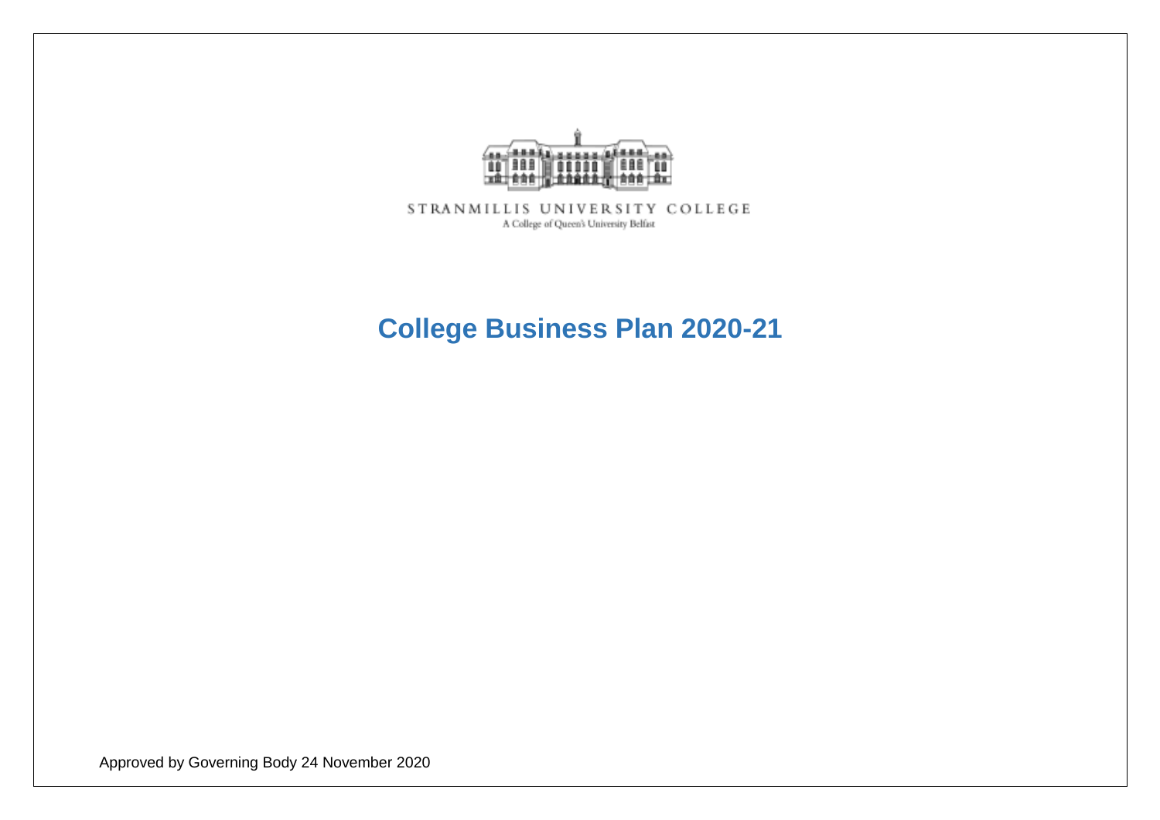

STRANMILLIS UNIVERSITY COLLEGE A College of Queen's University Belfast

# **College Business Plan 2020-21**

Approved by Governing Body 24 November 2020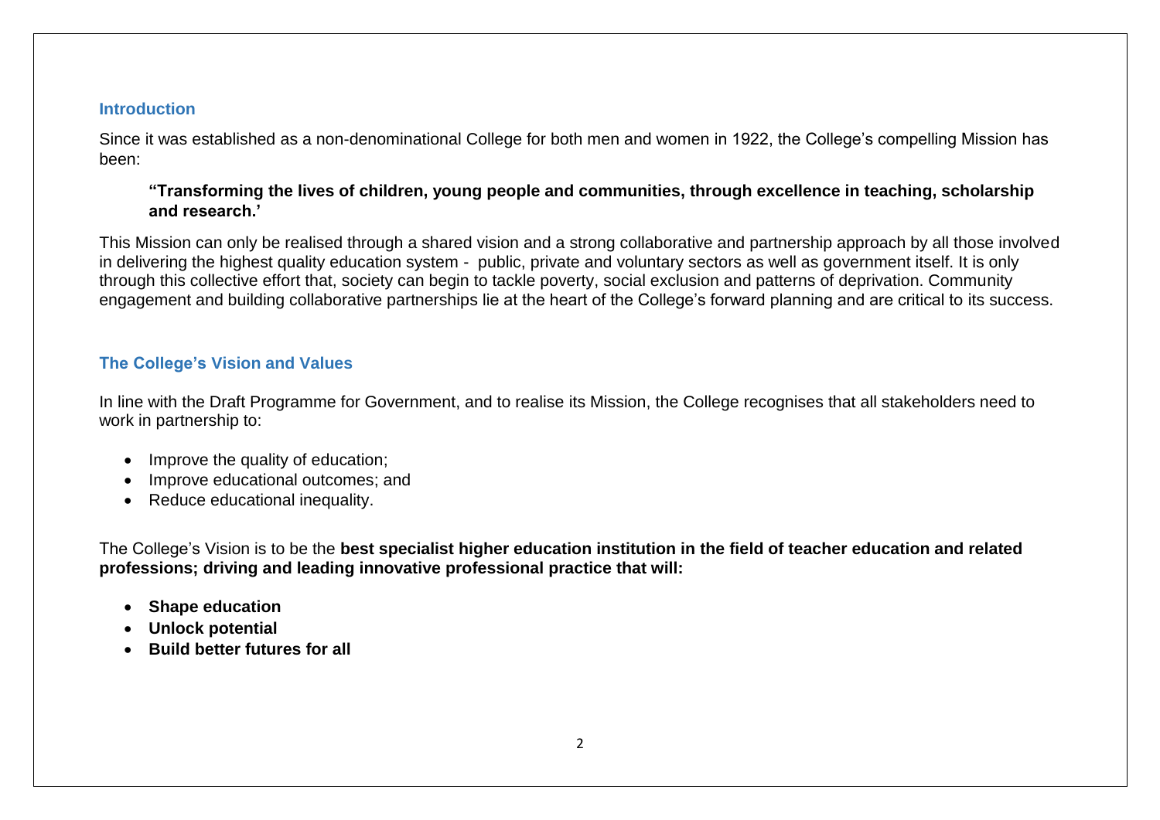#### **Introduction**

Since it was established as a non-denominational College for both men and women in 1922, the College's compelling Mission has been:

#### **"Transforming the lives of children, young people and communities, through excellence in teaching, scholarship and research.'**

This Mission can only be realised through a shared vision and a strong collaborative and partnership approach by all those involved in delivering the highest quality education system - public, private and voluntary sectors as well as government itself. It is only through this collective effort that, society can begin to tackle poverty, social exclusion and patterns of deprivation. Community engagement and building collaborative partnerships lie at the heart of the College's forward planning and are critical to its success.

## **The College's Vision and Values**

In line with the Draft Programme for Government, and to realise its Mission, the College recognises that all stakeholders need to work in partnership to:

- Improve the quality of education;
- Improve educational outcomes: and
- Reduce educational inequality.

The College's Vision is to be the **best specialist higher education institution in the field of teacher education and related professions; driving and leading innovative professional practice that will:**

- **Shape education**
- **Unlock potential**
- **•** Build better futures for all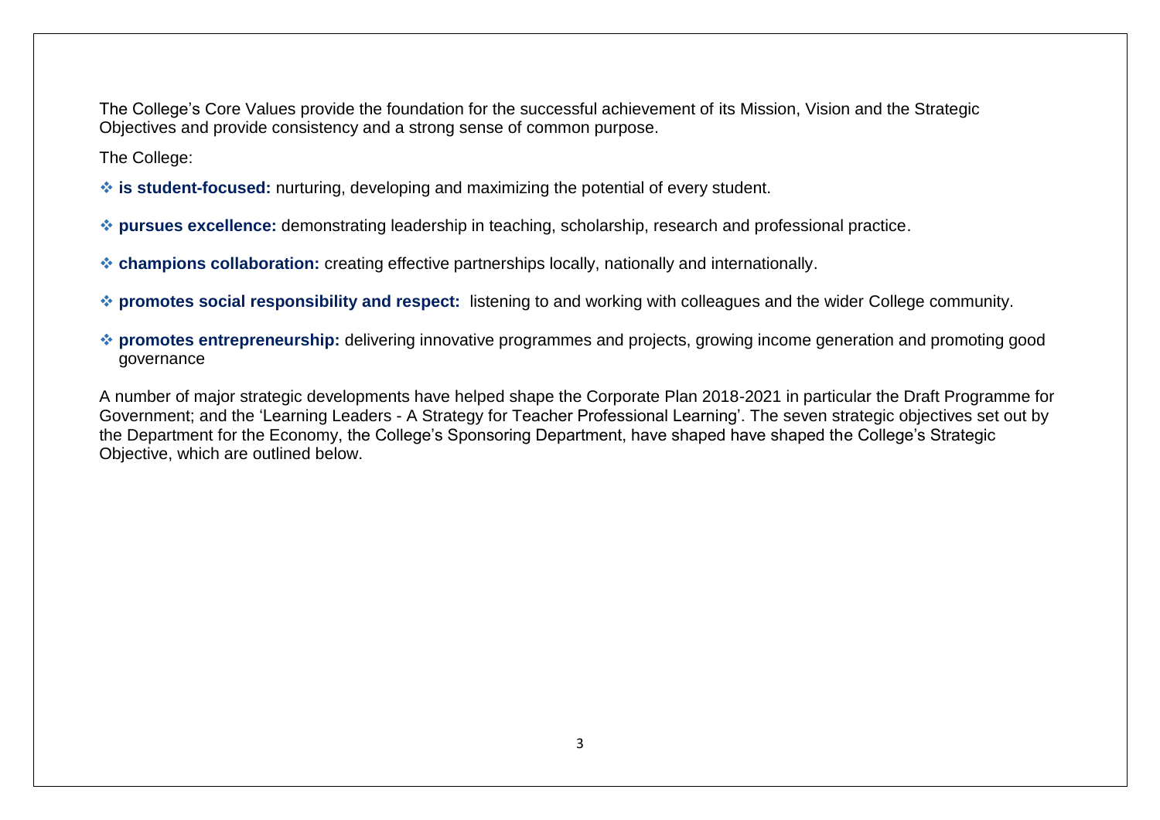The College's Core Values provide the foundation for the successful achievement of its Mission, Vision and the Strategic Objectives and provide consistency and a strong sense of common purpose.

The College:

- **is student-focused:** nurturing, developing and maximizing the potential of every student.
- **pursues excellence:** demonstrating leadership in teaching, scholarship, research and professional practice.
- **champions collaboration:** creating effective partnerships locally, nationally and internationally.
- **promotes social responsibility and respect:** listening to and working with colleagues and the wider College community.
- **promotes entrepreneurship:** delivering innovative programmes and projects, growing income generation and promoting good governance

A number of major strategic developments have helped shape the Corporate Plan 2018-2021 in particular the Draft Programme for Government; and the 'Learning Leaders - A Strategy for Teacher Professional Learning'. The seven strategic objectives set out by the Department for the Economy, the College's Sponsoring Department, have shaped have shaped the College's Strategic Objective, which are outlined below.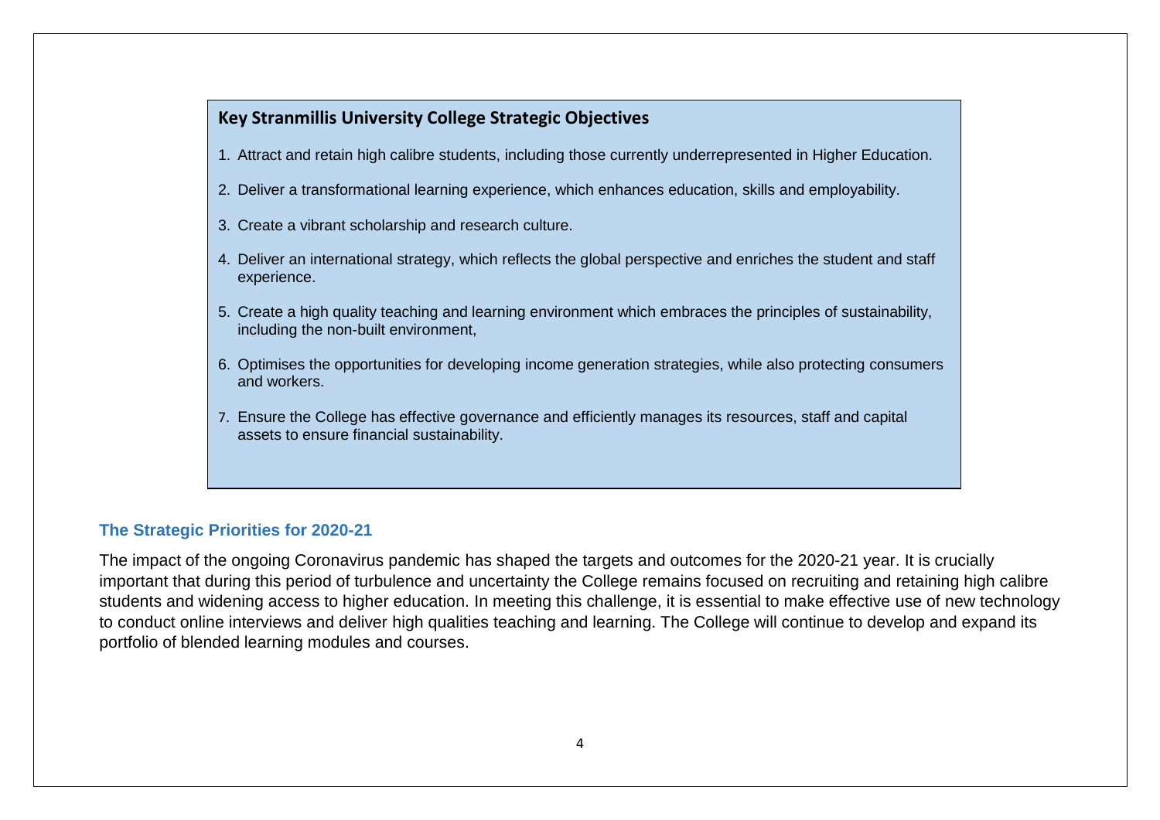## **Key Stranmillis University College Strategic Objectives**

- 1. Attract and retain high calibre students, including those currently underrepresented in Higher Education.
- 2. Deliver a transformational learning experience, which enhances education, skills and employability.
- 3. Create a vibrant scholarship and research culture.
- 4. Deliver an international strategy, which reflects the global perspective and enriches the student and staff experience.
- 5. Create a high quality teaching and learning environment which embraces the principles of sustainability, including the non-built environment,
- 6. Optimises the opportunities for developing income generation strategies, while also protecting consumers and workers.
- 7. Ensure the College has effective governance and efficiently manages its resources, staff and capital assets to ensure financial sustainability.

### **The Strategic Priorities for 2020-21**

The impact of the ongoing Coronavirus pandemic has shaped the targets and outcomes for the 2020-21 year. It is crucially important that during this period of turbulence and uncertainty the College remains focused on recruiting and retaining high calibre students and widening access to higher education. In meeting this challenge, it is essential to make effective use of new technology to conduct online interviews and deliver high qualities teaching and learning. The College will continue to develop and expand its portfolio of blended learning modules and courses.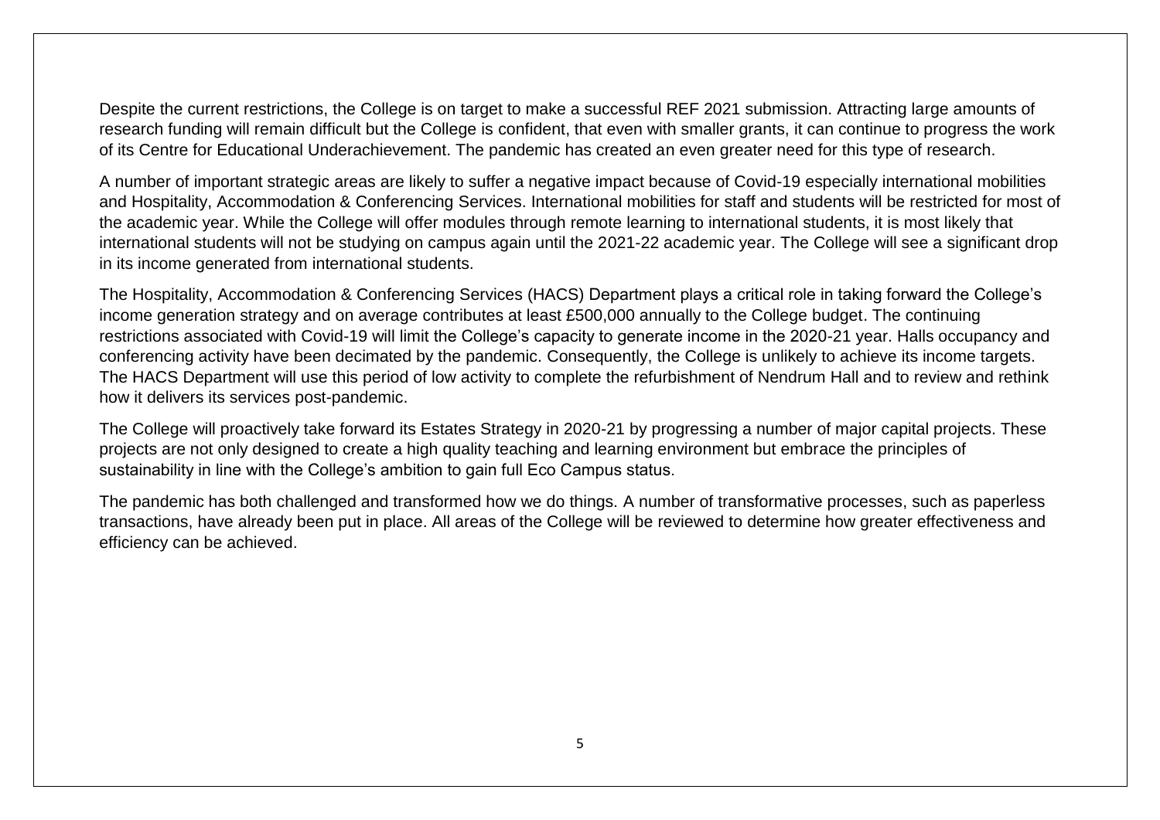Despite the current restrictions, the College is on target to make a successful REF 2021 submission. Attracting large amounts of research funding will remain difficult but the College is confident, that even with smaller grants, it can continue to progress the work of its Centre for Educational Underachievement. The pandemic has created an even greater need for this type of research.

A number of important strategic areas are likely to suffer a negative impact because of Covid-19 especially international mobilities and Hospitality, Accommodation & Conferencing Services. International mobilities for staff and students will be restricted for most of the academic year. While the College will offer modules through remote learning to international students, it is most likely that international students will not be studying on campus again until the 2021-22 academic year. The College will see a significant drop in its income generated from international students.

The Hospitality, Accommodation & Conferencing Services (HACS) Department plays a critical role in taking forward the College's income generation strategy and on average contributes at least £500,000 annually to the College budget. The continuing restrictions associated with Covid-19 will limit the College's capacity to generate income in the 2020-21 year. Halls occupancy and conferencing activity have been decimated by the pandemic. Consequently, the College is unlikely to achieve its income targets. The HACS Department will use this period of low activity to complete the refurbishment of Nendrum Hall and to review and rethink how it delivers its services post-pandemic.

The College will proactively take forward its Estates Strategy in 2020-21 by progressing a number of major capital projects. These projects are not only designed to create a high quality teaching and learning environment but embrace the principles of sustainability in line with the College's ambition to gain full Eco Campus status.

The pandemic has both challenged and transformed how we do things. A number of transformative processes, such as paperless transactions, have already been put in place. All areas of the College will be reviewed to determine how greater effectiveness and efficiency can be achieved.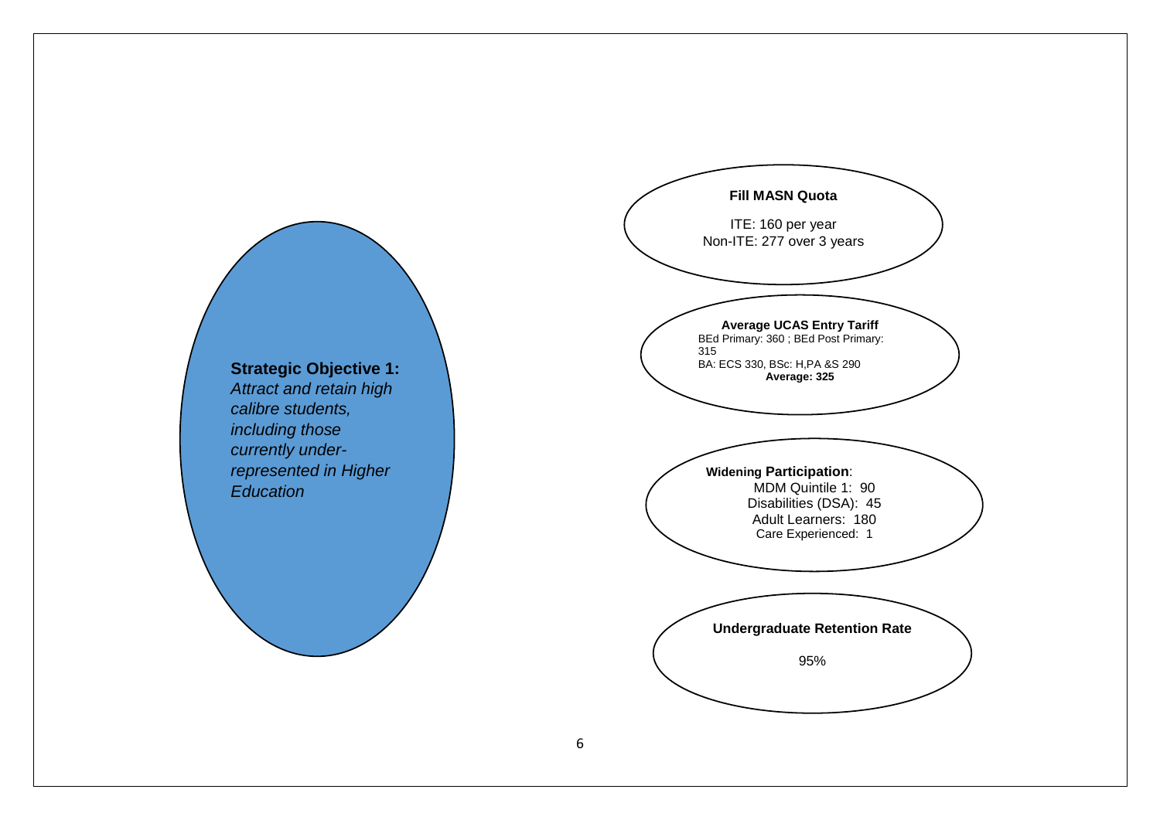

*Attract and retain high calibre students, including those currently underrepresented in Higher*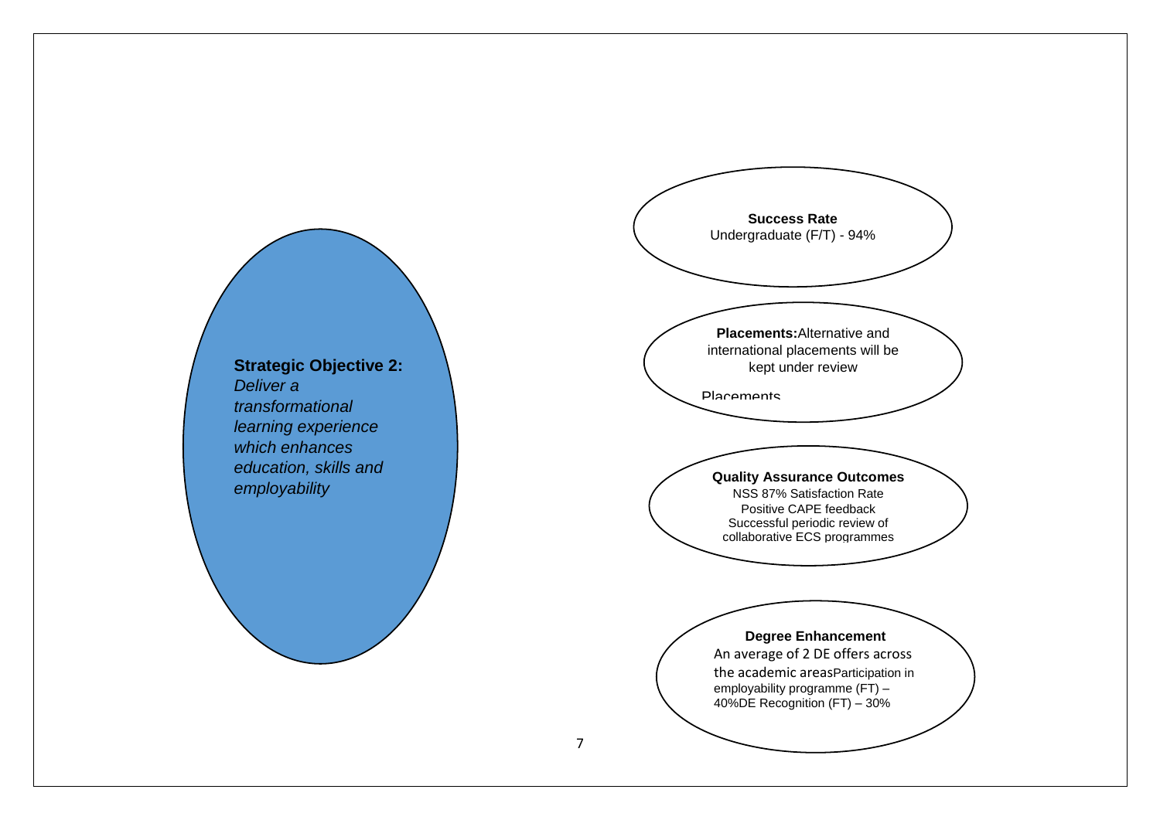

**Strategic Objective 2:** *Deliver a transformational learning experience which enhances education, skills and employability*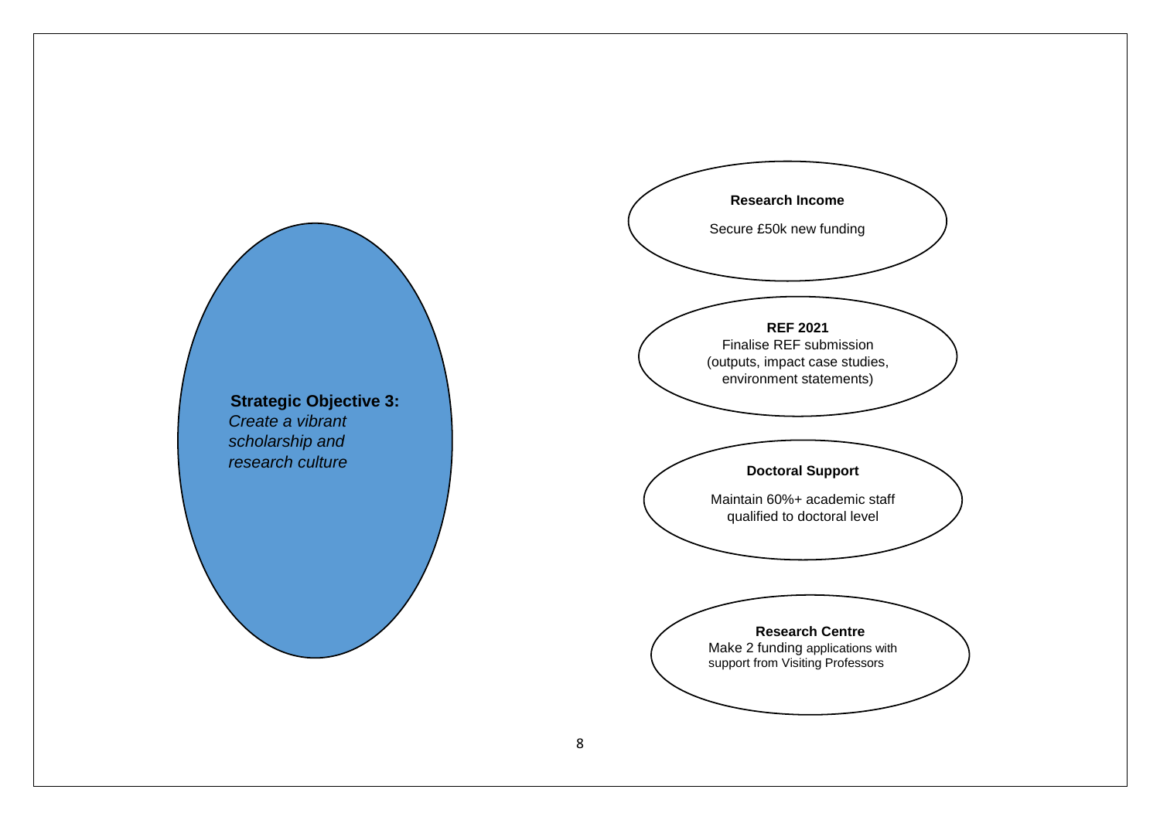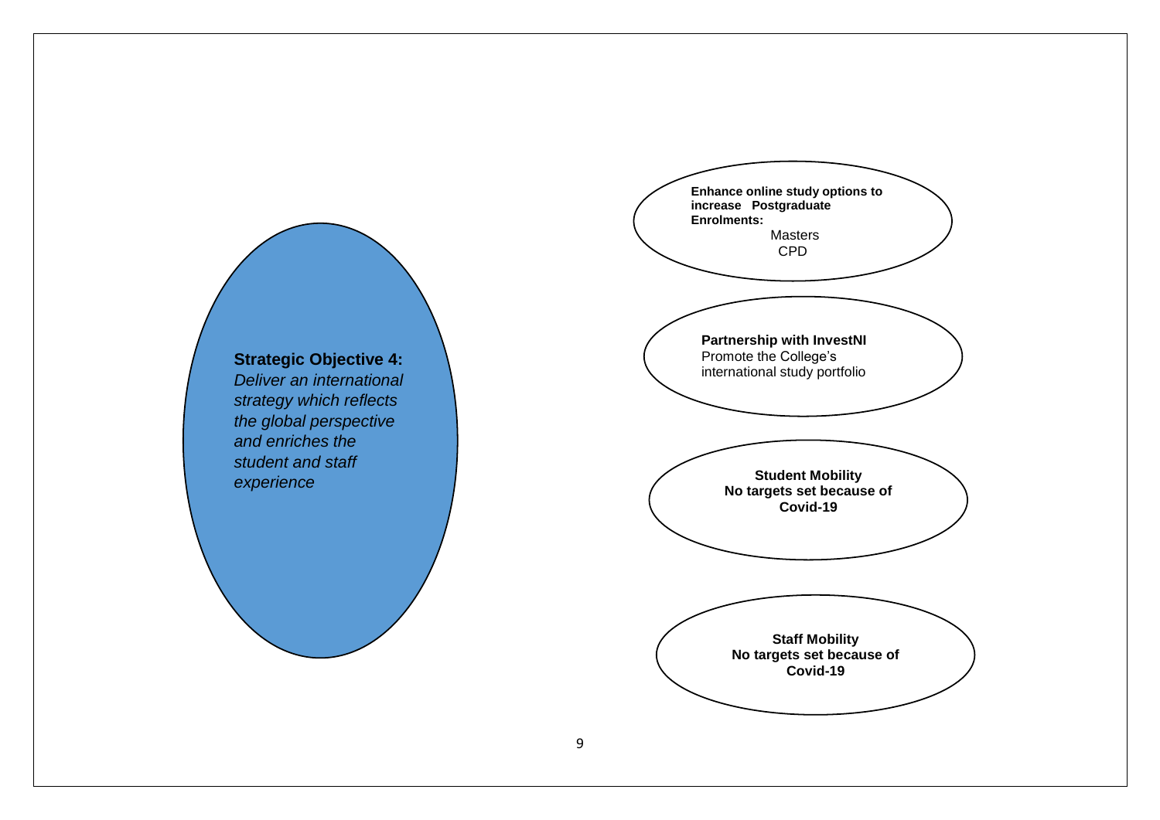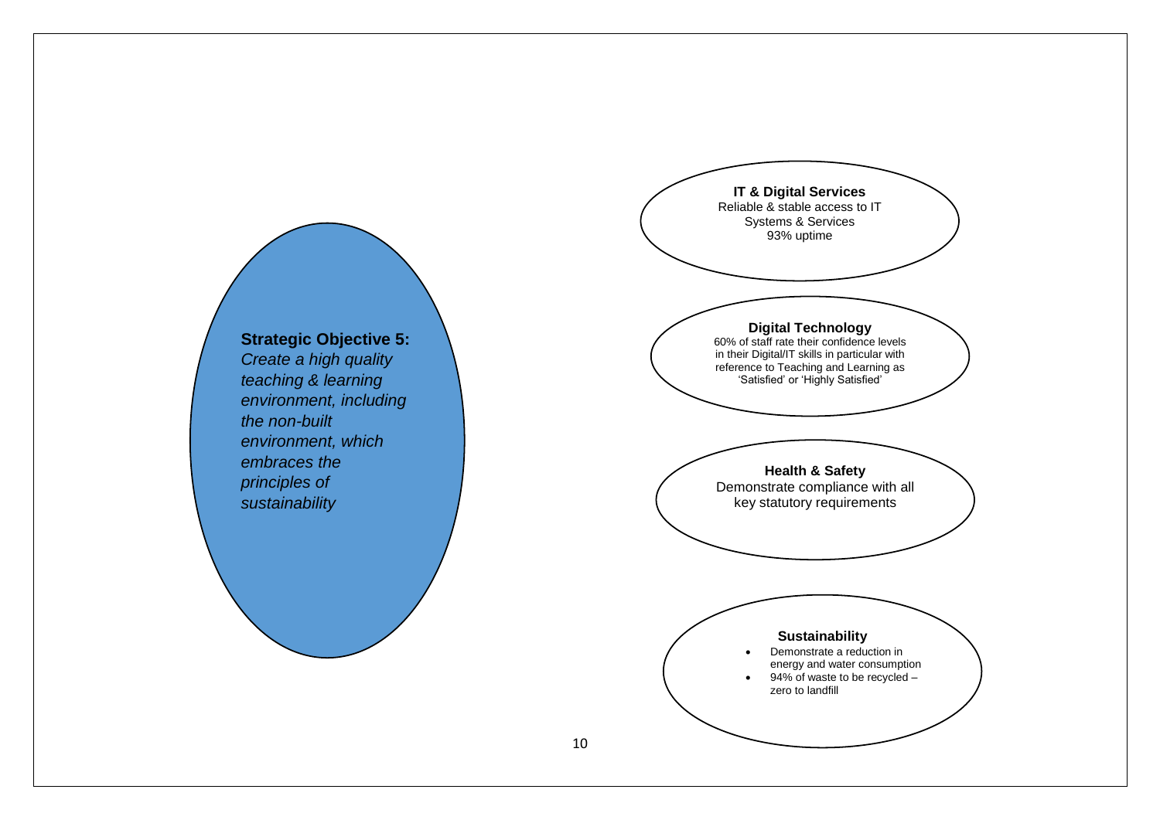

## **Strategic Objective 5:**

*Create a high quality teaching & learning environment, including the non-built environment, which embraces the principles of sustainability*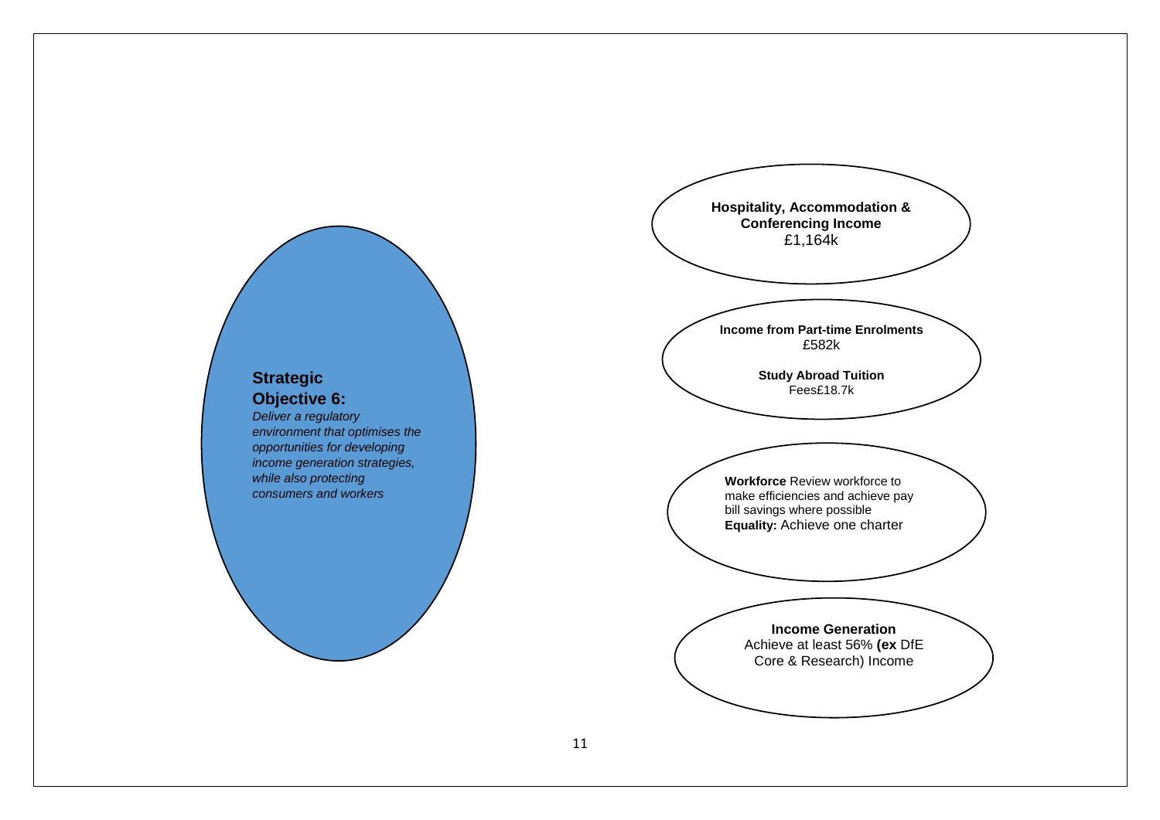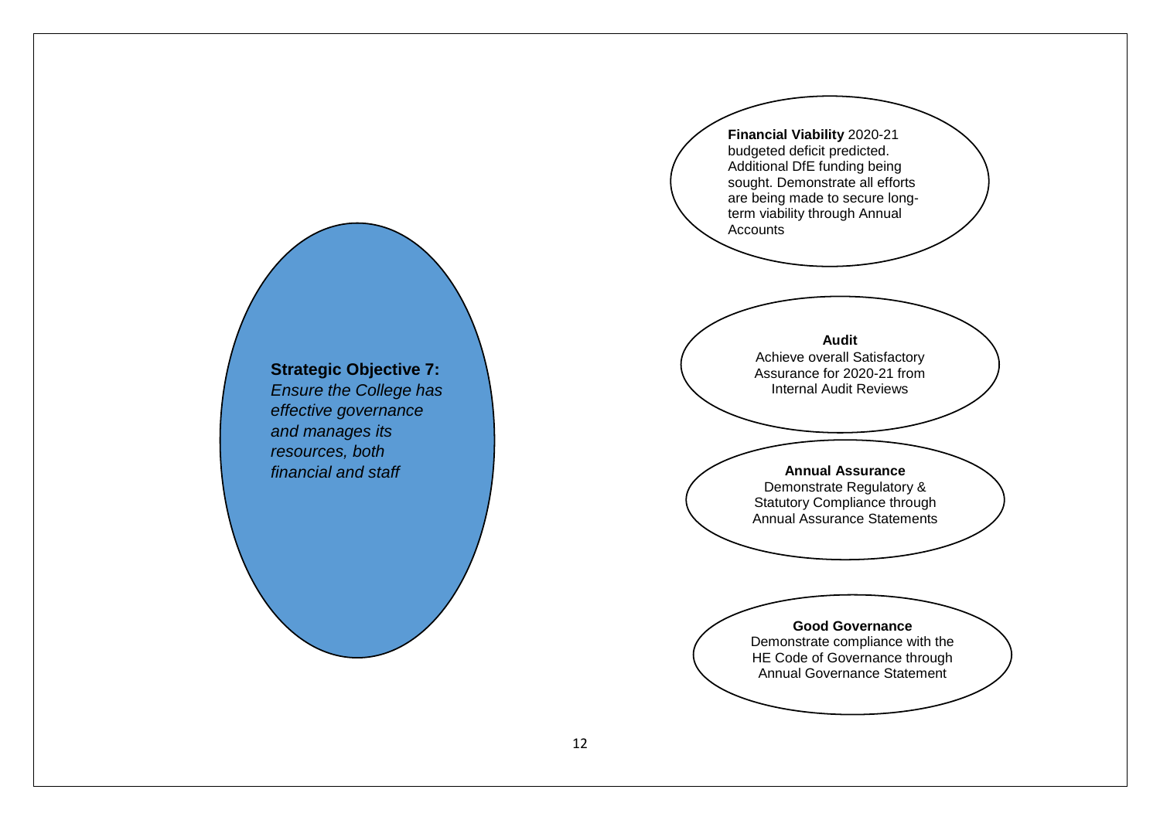**Financial Viability** 2020-21 budgeted deficit predicted. Additional DfE funding being sought. Demonstrate all efforts are being made to secure longterm viability through Annual Accounts

#### **Audit**

Achieve overall Satisfactory Assurance for 2020-21 from Internal Audit Reviews

#### **Annual Assurance**

Demonstrate Regulatory & Statutory Compliance through Annual Assurance Statements

# **Good Governance**

Demonstrate compliance with the HE Code of Governance through Annual Governance Statement

**Strategic Objective 7:** *Ensure the College has effective governance and manages its resources, both financial and staff*